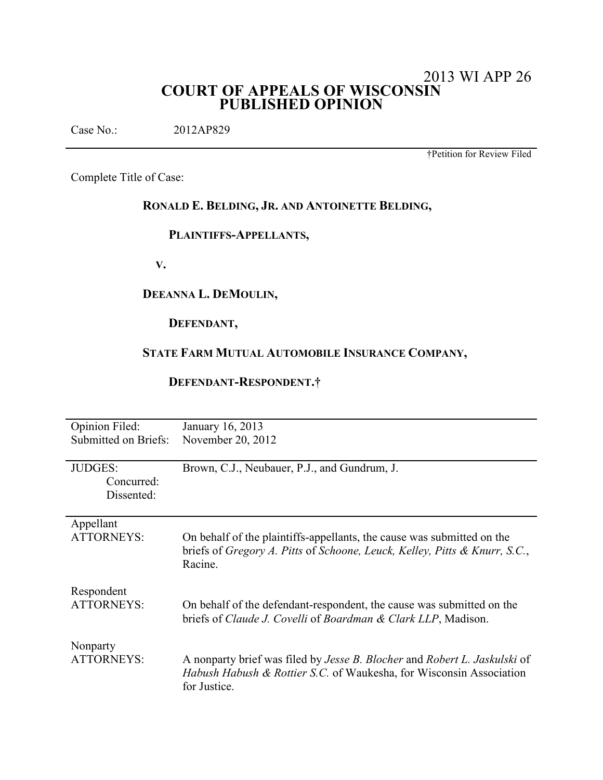# 2013 WI APP 26 **COURT OF APPEALS OF WISCONSIN PUBLISHED OPINION**

Case No.: 2012AP829

†Petition for Review Filed

Complete Title of Case:

#### **RONALD E. BELDING, JR. AND ANTOINETTE BELDING,**

## **PLAINTIFFS-APPELLANTS,**

 **V.** 

# **DEEANNA L. DEMOULIN,**

#### **DEFENDANT,**

#### **STATE FARM MUTUAL AUTOMOBILE INSURANCE COMPANY,**

# **DEFENDANT-RESPONDENT.†**

| Opinion Filed:           | January 16, 2013                                                                                                                                                                          |
|--------------------------|-------------------------------------------------------------------------------------------------------------------------------------------------------------------------------------------|
| Submitted on Briefs:     | November 20, 2012                                                                                                                                                                         |
| <b>JUDGES:</b>           | Brown, C.J., Neubauer, P.J., and Gundrum, J.                                                                                                                                              |
| Concurred:<br>Dissented: |                                                                                                                                                                                           |
| Appellant                |                                                                                                                                                                                           |
| <b>ATTORNEYS:</b>        | On behalf of the plaintiffs-appellants, the cause was submitted on the<br>briefs of Gregory A. Pitts of Schoone, Leuck, Kelley, Pitts & Knurr, S.C.,<br>Racine.                           |
| Respondent               |                                                                                                                                                                                           |
| <b>ATTORNEYS:</b>        | On behalf of the defendant-respondent, the cause was submitted on the<br>briefs of Claude J. Covelli of Boardman & Clark LLP, Madison.                                                    |
| Nonparty                 |                                                                                                                                                                                           |
| <b>ATTORNEYS:</b>        | A nonparty brief was filed by <i>Jesse B. Blocher</i> and <i>Robert L. Jaskulski</i> of<br><i>Habush Habush &amp; Rottier S.C.</i> of Waukesha, for Wisconsin Association<br>for Justice. |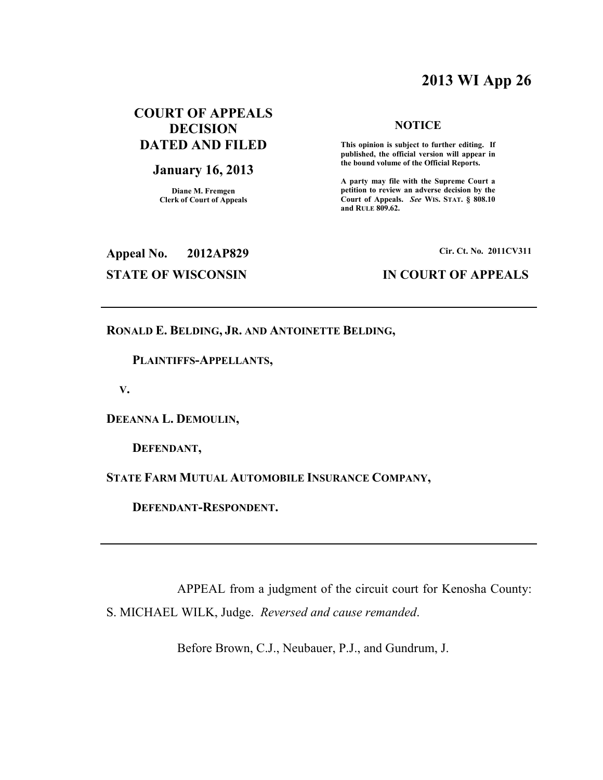# **2013 WI App 26**

## **COURT OF APPEALS DECISION DATED AND FILED**

#### **January 16, 2013**

**Diane M. Fremgen Clerk of Court of Appeals** 

#### **NOTICE**

 **This opinion is subject to further editing. If published, the official version will appear in the bound volume of the Official Reports.** 

**A party may file with the Supreme Court a petition to review an adverse decision by the Court of Appeals.** *See* **WIS. STAT. § 808.10 and RULE 809.62.** 

**Appeal No. 2012AP829 Cir. Ct. No. 2011CV311**

#### **STATE OF WISCONSIN IN COURT OF APPEALS**

**RONALD E. BELDING, JR. AND ANTOINETTE BELDING,** 

 **PLAINTIFFS-APPELLANTS,** 

 **V.** 

**DEEANNA L. DEMOULIN,** 

 **DEFENDANT,** 

**STATE FARM MUTUAL AUTOMOBILE INSURANCE COMPANY,** 

 **DEFENDANT-RESPONDENT.** 

 APPEAL from a judgment of the circuit court for Kenosha County: S. MICHAEL WILK, Judge. *Reversed and cause remanded*.

Before Brown, C.J., Neubauer, P.J., and Gundrum, J.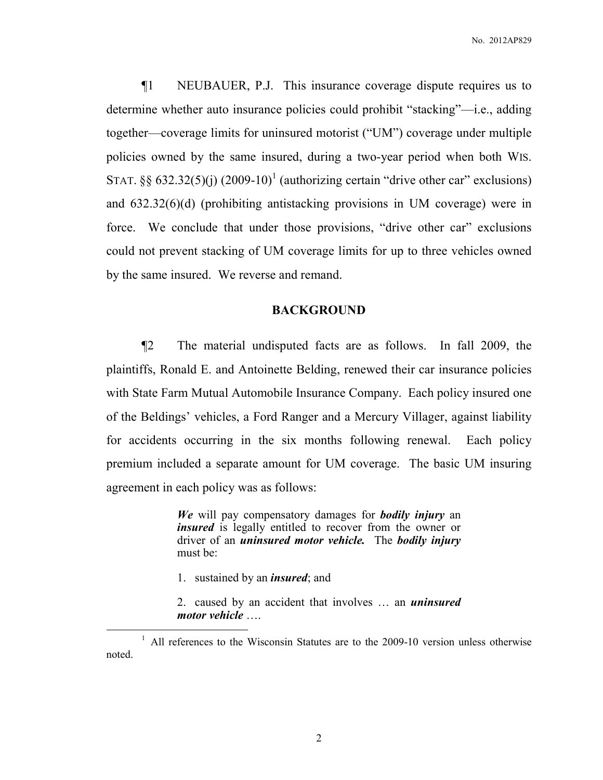¶1 NEUBAUER, P.J. This insurance coverage dispute requires us to determine whether auto insurance policies could prohibit "stacking"—i.e., adding together—coverage limits for uninsured motorist ("UM") coverage under multiple policies owned by the same insured, during a two-year period when both WIS. STAT. §§ 632.32(5)(j)  $(2009-10)^1$  (authorizing certain "drive other car" exclusions) and 632.32(6)(d) (prohibiting antistacking provisions in UM coverage) were in force. We conclude that under those provisions, "drive other car" exclusions could not prevent stacking of UM coverage limits for up to three vehicles owned by the same insured. We reverse and remand.

#### **BACKGROUND**

¶2 The material undisputed facts are as follows. In fall 2009, the plaintiffs, Ronald E. and Antoinette Belding, renewed their car insurance policies with State Farm Mutual Automobile Insurance Company. Each policy insured one of the Beldings' vehicles, a Ford Ranger and a Mercury Villager, against liability for accidents occurring in the six months following renewal. Each policy premium included a separate amount for UM coverage. The basic UM insuring agreement in each policy was as follows:

> *We* will pay compensatory damages for *bodily injury* an *insured* is legally entitled to recover from the owner or driver of an *uninsured motor vehicle.* The *bodily injury*  must be:

1. sustained by an *insured*; and

-

2. caused by an accident that involves … an *uninsured motor vehicle* ….

 $1$  All references to the Wisconsin Statutes are to the 2009-10 version unless otherwise noted.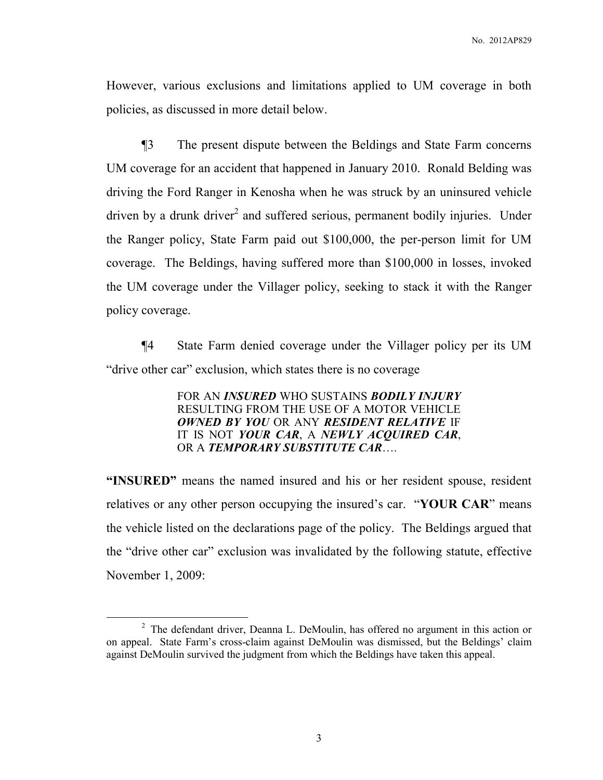However, various exclusions and limitations applied to UM coverage in both policies, as discussed in more detail below.

¶3 The present dispute between the Beldings and State Farm concerns UM coverage for an accident that happened in January 2010. Ronald Belding was driving the Ford Ranger in Kenosha when he was struck by an uninsured vehicle driven by a drunk driver<sup>2</sup> and suffered serious, permanent bodily injuries. Under the Ranger policy, State Farm paid out \$100,000, the per-person limit for UM coverage. The Beldings, having suffered more than \$100,000 in losses, invoked the UM coverage under the Villager policy, seeking to stack it with the Ranger policy coverage.

¶4 State Farm denied coverage under the Villager policy per its UM "drive other car" exclusion, which states there is no coverage

> FOR AN *INSURED* WHO SUSTAINS *BODILY INJURY* RESULTING FROM THE USE OF A MOTOR VEHICLE *OWNED BY YOU* OR ANY *RESIDENT RELATIVE* IF IT IS NOT *YOUR CAR*, A *NEWLY ACQUIRED CAR*, OR A *TEMPORARY SUBSTITUTE CAR*….

**"INSURED"** means the named insured and his or her resident spouse, resident relatives or any other person occupying the insured's car. "**YOUR CAR**" means the vehicle listed on the declarations page of the policy. The Beldings argued that the "drive other car" exclusion was invalidated by the following statute, effective November 1, 2009:

 $\overline{a}$ 

 $2$  The defendant driver, Deanna L. DeMoulin, has offered no argument in this action or on appeal. State Farm's cross-claim against DeMoulin was dismissed, but the Beldings' claim against DeMoulin survived the judgment from which the Beldings have taken this appeal.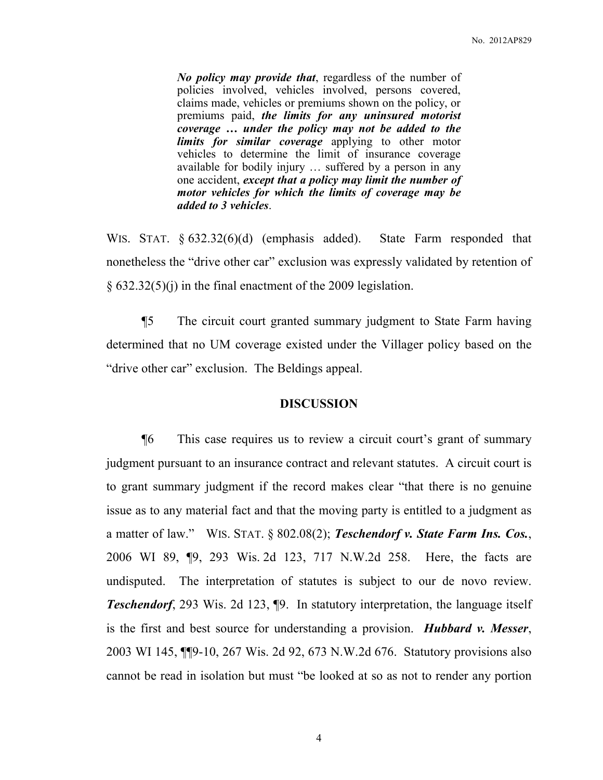*No policy may provide that*, regardless of the number of policies involved, vehicles involved, persons covered, claims made, vehicles or premiums shown on the policy, or premiums paid, *the limits for any uninsured motorist coverage … under the policy may not be added to the limits for similar coverage* applying to other motor vehicles to determine the limit of insurance coverage available for bodily injury … suffered by a person in any one accident, *except that a policy may limit the number of motor vehicles for which the limits of coverage may be added to 3 vehicles*.

WIS. STAT. § 632.32(6)(d) (emphasis added). State Farm responded that nonetheless the "drive other car" exclusion was expressly validated by retention of  $\S$  632.32(5)(j) in the final enactment of the 2009 legislation.

¶5 The circuit court granted summary judgment to State Farm having determined that no UM coverage existed under the Villager policy based on the "drive other car" exclusion. The Beldings appeal.

#### **DISCUSSION**

¶6 This case requires us to review a circuit court's grant of summary judgment pursuant to an insurance contract and relevant statutes. A circuit court is to grant summary judgment if the record makes clear "that there is no genuine issue as to any material fact and that the moving party is entitled to a judgment as a matter of law." WIS. STAT. § 802.08(2); *Teschendorf v. State Farm Ins. Cos.*, 2006 WI 89, ¶9, 293 Wis. 2d 123, 717 N.W.2d 258. Here, the facts are undisputed. The interpretation of statutes is subject to our de novo review. **Teschendorf**, 293 Wis. 2d 123, 19. In statutory interpretation, the language itself is the first and best source for understanding a provision. *Hubbard v. Messer*, 2003 WI 145, ¶¶9-10, 267 Wis. 2d 92, 673 N.W.2d 676. Statutory provisions also cannot be read in isolation but must "be looked at so as not to render any portion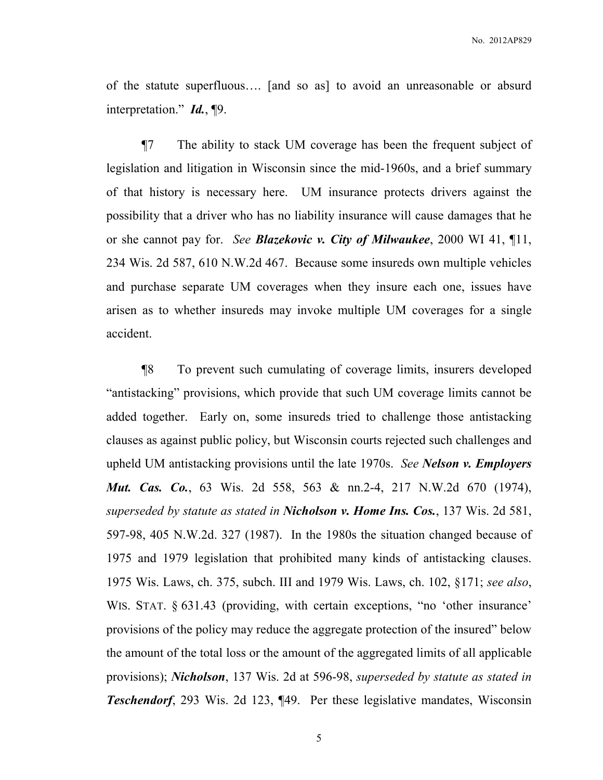of the statute superfluous…. [and so as] to avoid an unreasonable or absurd interpretation." *Id.*, ¶9.

¶7 The ability to stack UM coverage has been the frequent subject of legislation and litigation in Wisconsin since the mid-1960s, and a brief summary of that history is necessary here. UM insurance protects drivers against the possibility that a driver who has no liability insurance will cause damages that he or she cannot pay for. *See Blazekovic v. City of Milwaukee*, 2000 WI 41, ¶11, 234 Wis. 2d 587, 610 N.W.2d 467. Because some insureds own multiple vehicles and purchase separate UM coverages when they insure each one, issues have arisen as to whether insureds may invoke multiple UM coverages for a single accident.

¶8 To prevent such cumulating of coverage limits, insurers developed "antistacking" provisions, which provide that such UM coverage limits cannot be added together. Early on, some insureds tried to challenge those antistacking clauses as against public policy, but Wisconsin courts rejected such challenges and upheld UM antistacking provisions until the late 1970s. *See Nelson v. Employers Mut. Cas. Co.*, 63 Wis. 2d 558, 563 & nn.2-4, 217 N.W.2d 670 (1974), *superseded by statute as stated in Nicholson v. Home Ins. Cos.*, 137 Wis. 2d 581, 597-98, 405 N.W.2d. 327 (1987).In the 1980s the situation changed because of 1975 and 1979 legislation that prohibited many kinds of antistacking clauses. 1975 Wis. Laws, ch. 375, subch. III and 1979 Wis. Laws, ch. 102, §171; *see also*, WIS. STAT. § 631.43 (providing, with certain exceptions, "no 'other insurance' provisions of the policy may reduce the aggregate protection of the insured" below the amount of the total loss or the amount of the aggregated limits of all applicable provisions); *Nicholson*, 137 Wis. 2d at 596-98, *superseded by statute as stated in* **Teschendorf**, 293 Wis. 2d 123, ¶49. Per these legislative mandates, Wisconsin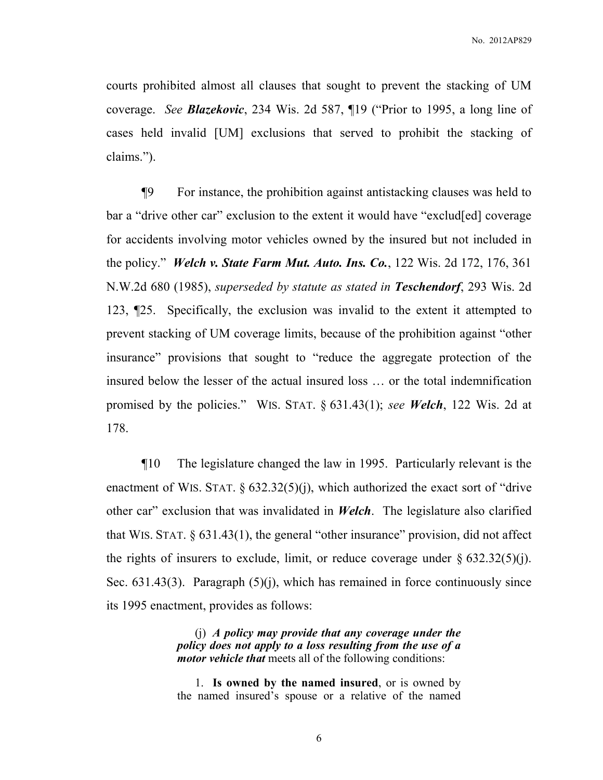courts prohibited almost all clauses that sought to prevent the stacking of UM coverage. *See Blazekovic*, 234 Wis. 2d 587, ¶19 ("Prior to 1995, a long line of cases held invalid [UM] exclusions that served to prohibit the stacking of claims.").

¶9 For instance, the prohibition against antistacking clauses was held to bar a "drive other car" exclusion to the extent it would have "exclud[ed] coverage for accidents involving motor vehicles owned by the insured but not included in the policy." *Welch v. State Farm Mut. Auto. Ins. Co.*, 122 Wis. 2d 172, 176, 361 N.W.2d 680 (1985), *superseded by statute as stated in Teschendorf*, 293 Wis. 2d 123, ¶25. Specifically, the exclusion was invalid to the extent it attempted to prevent stacking of UM coverage limits, because of the prohibition against "other insurance" provisions that sought to "reduce the aggregate protection of the insured below the lesser of the actual insured loss … or the total indemnification promised by the policies." WIS. STAT. § 631.43(1); *see Welch*, 122 Wis. 2d at 178.

¶10 The legislature changed the law in 1995. Particularly relevant is the enactment of WIS. STAT.  $\S$  632.32(5)(j), which authorized the exact sort of "drive" other car" exclusion that was invalidated in *Welch*. The legislature also clarified that WIS. STAT. § 631.43(1), the general "other insurance" provision, did not affect the rights of insurers to exclude, limit, or reduce coverage under  $\S 632.32(5)(i)$ . Sec. 631.43(3). Paragraph (5)(j), which has remained in force continuously since its 1995 enactment, provides as follows:

> (j) *A policy may provide that any coverage under the policy does not apply to a loss resulting from the use of a motor vehicle that* meets all of the following conditions:

> 1. **Is owned by the named insured**, or is owned by the named insured's spouse or a relative of the named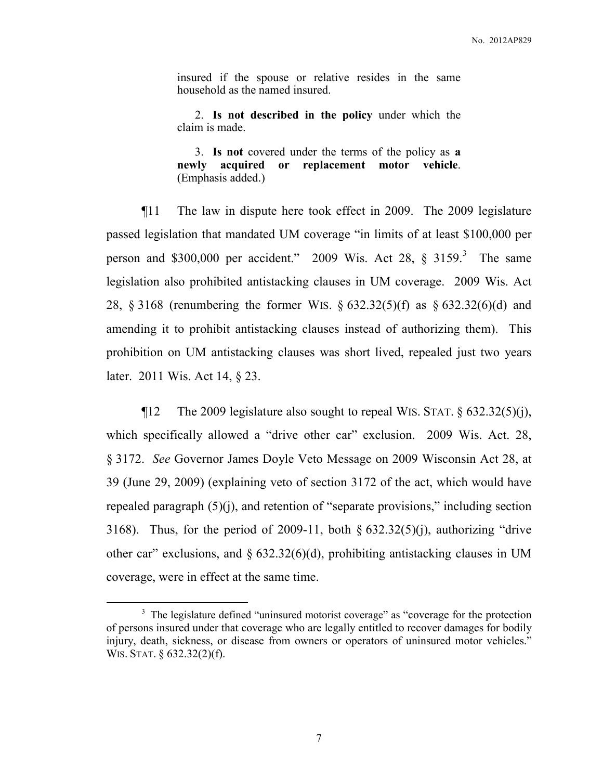insured if the spouse or relative resides in the same household as the named insured.

2. **Is not described in the policy** under which the claim is made.

3. **Is not** covered under the terms of the policy as **a newly acquired or replacement motor vehicle**. (Emphasis added.)

¶11 The law in dispute here took effect in 2009. The 2009 legislature passed legislation that mandated UM coverage "in limits of at least \$100,000 per person and \$300,000 per accident." 2009 Wis. Act 28,  $\S$  3159. $3$  The same legislation also prohibited antistacking clauses in UM coverage. 2009 Wis. Act 28, § 3168 (renumbering the former WIS. § 632.32(5)(f) as § 632.32(6)(d) and amending it to prohibit antistacking clauses instead of authorizing them). This prohibition on UM antistacking clauses was short lived, repealed just two years later. 2011 Wis. Act 14, § 23.

The 2009 legislature also sought to repeal WIS. STAT.  $\S$  632.32(5)(i), which specifically allowed a "drive other car" exclusion. 2009 Wis. Act. 28, § 3172. *See* Governor James Doyle Veto Message on 2009 Wisconsin Act 28, at 39 (June 29, 2009) (explaining veto of section 3172 of the act, which would have repealed paragraph (5)(j), and retention of "separate provisions," including section 3168). Thus, for the period of 2009-11, both  $\S$  632.32(5)(j), authorizing "drive other car" exclusions, and  $\S 632.32(6)(d)$ , prohibiting antistacking clauses in UM coverage, were in effect at the same time.

 $\overline{a}$ 

<sup>&</sup>lt;sup>3</sup> The legislature defined "uninsured motorist coverage" as "coverage for the protection of persons insured under that coverage who are legally entitled to recover damages for bodily injury, death, sickness, or disease from owners or operators of uninsured motor vehicles." WIS. STAT. § 632.32(2)(f).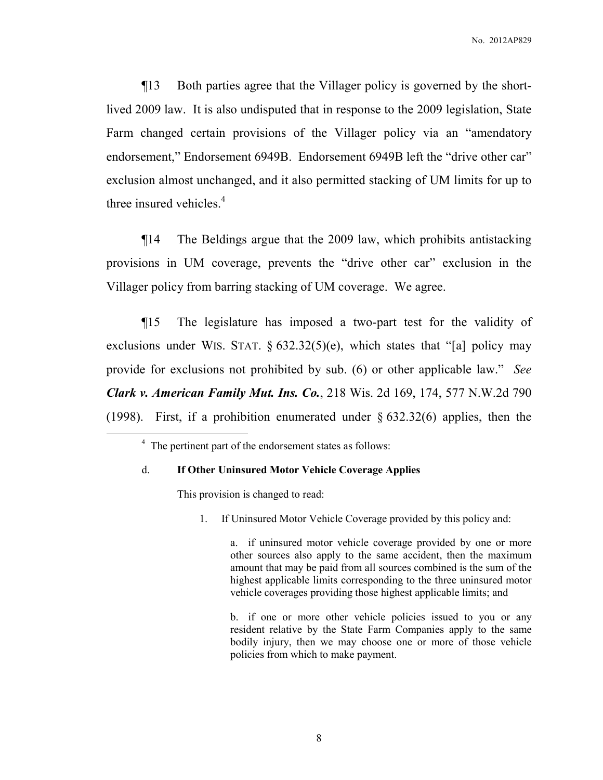¶13 Both parties agree that the Villager policy is governed by the shortlived 2009 law. It is also undisputed that in response to the 2009 legislation, State Farm changed certain provisions of the Villager policy via an "amendatory endorsement," Endorsement 6949B. Endorsement 6949B left the "drive other car" exclusion almost unchanged, and it also permitted stacking of UM limits for up to three insured vehicles.<sup>4</sup>

¶14 The Beldings argue that the 2009 law, which prohibits antistacking provisions in UM coverage, prevents the "drive other car" exclusion in the Villager policy from barring stacking of UM coverage. We agree.

¶15 The legislature has imposed a two-part test for the validity of exclusions under WIS. STAT.  $\S 632.32(5)(e)$ , which states that "[a] policy may provide for exclusions not prohibited by sub. (6) or other applicable law." *See Clark v. American Family Mut. Ins. Co.*, 218 Wis. 2d 169, 174, 577 N.W.2d 790 (1998). First, if a prohibition enumerated under § 632.32(6) applies, then the

#### d. **If Other Uninsured Motor Vehicle Coverage Applies**

This provision is changed to read:

 $\overline{a}$ 

1. If Uninsured Motor Vehicle Coverage provided by this policy and:

a. if uninsured motor vehicle coverage provided by one or more other sources also apply to the same accident, then the maximum amount that may be paid from all sources combined is the sum of the highest applicable limits corresponding to the three uninsured motor vehicle coverages providing those highest applicable limits; and

b. if one or more other vehicle policies issued to you or any resident relative by the State Farm Companies apply to the same bodily injury, then we may choose one or more of those vehicle policies from which to make payment.

<sup>&</sup>lt;sup>4</sup> The pertinent part of the endorsement states as follows: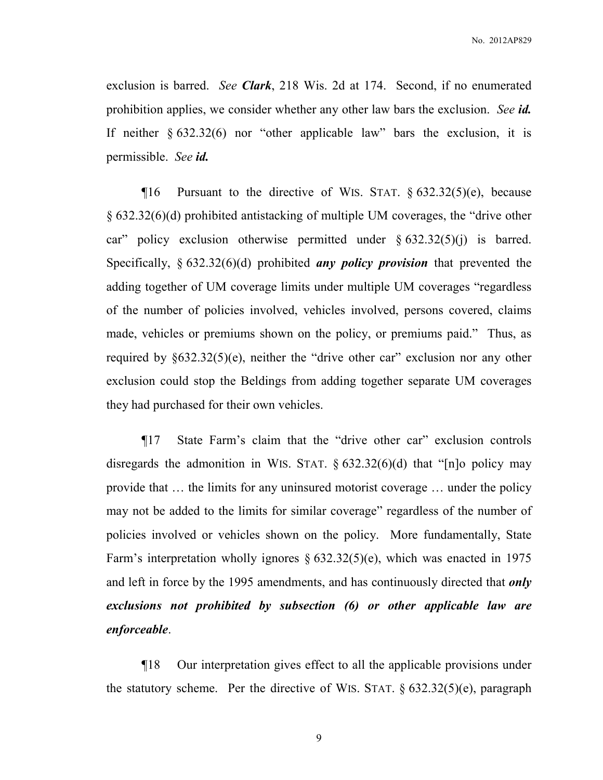exclusion is barred. *See Clark*, 218 Wis. 2d at 174. Second, if no enumerated prohibition applies, we consider whether any other law bars the exclusion. *See id.* If neither  $§ 632.32(6)$  nor "other applicable law" bars the exclusion, it is permissible. *See id.* 

 $\P$ 16 Pursuant to the directive of WIS. STAT. § 632.32(5)(e), because § 632.32(6)(d) prohibited antistacking of multiple UM coverages, the "drive other car" policy exclusion otherwise permitted under  $\S 632.32(5)(i)$  is barred. Specifically, § 632.32(6)(d) prohibited *any policy provision* that prevented the adding together of UM coverage limits under multiple UM coverages "regardless of the number of policies involved, vehicles involved, persons covered, claims made, vehicles or premiums shown on the policy, or premiums paid." Thus, as required by §632.32(5)(e), neither the "drive other car" exclusion nor any other exclusion could stop the Beldings from adding together separate UM coverages they had purchased for their own vehicles.

¶17 State Farm's claim that the "drive other car" exclusion controls disregards the admonition in WIS. STAT.  $\S 632.32(6)(d)$  that "[n]o policy may provide that … the limits for any uninsured motorist coverage … under the policy may not be added to the limits for similar coverage" regardless of the number of policies involved or vehicles shown on the policy. More fundamentally, State Farm's interpretation wholly ignores § 632.32(5)(e), which was enacted in 1975 and left in force by the 1995 amendments, and has continuously directed that *only exclusions not prohibited by subsection (6) or other applicable law are enforceable*.

¶18 Our interpretation gives effect to all the applicable provisions under the statutory scheme. Per the directive of WIS. STAT.  $\S$  632.32(5)(e), paragraph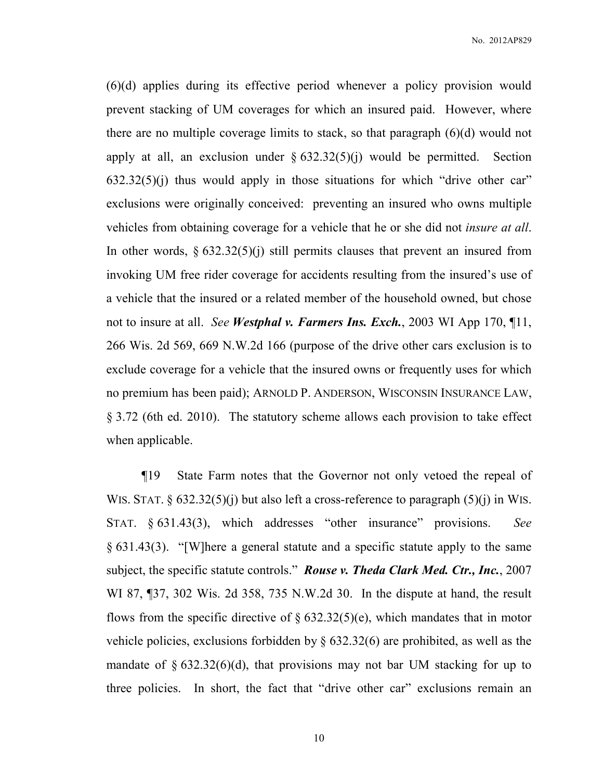No. 2012AP829

(6)(d) applies during its effective period whenever a policy provision would prevent stacking of UM coverages for which an insured paid. However, where there are no multiple coverage limits to stack, so that paragraph (6)(d) would not apply at all, an exclusion under  $\S$  632.32(5)(j) would be permitted. Section  $632.32(5)(i)$  thus would apply in those situations for which "drive other car" exclusions were originally conceived: preventing an insured who owns multiple vehicles from obtaining coverage for a vehicle that he or she did not *insure at all*. In other words,  $\S 632.32(5)(i)$  still permits clauses that prevent an insured from invoking UM free rider coverage for accidents resulting from the insured's use of a vehicle that the insured or a related member of the household owned, but chose not to insure at all. *See Westphal v. Farmers Ins. Exch.*, 2003 WI App 170, ¶11, 266 Wis. 2d 569, 669 N.W.2d 166 (purpose of the drive other cars exclusion is to exclude coverage for a vehicle that the insured owns or frequently uses for which no premium has been paid); ARNOLD P. ANDERSON, WISCONSIN INSURANCE LAW, § 3.72 (6th ed. 2010). The statutory scheme allows each provision to take effect when applicable.

¶19 State Farm notes that the Governor not only vetoed the repeal of WIS. STAT.  $\S$  632.32(5)(j) but also left a cross-reference to paragraph (5)(j) in WIS. STAT. § 631.43(3), which addresses "other insurance" provisions. *See*  § 631.43(3). "[W]here a general statute and a specific statute apply to the same subject, the specific statute controls." *Rouse v. Theda Clark Med. Ctr., Inc.*, 2007 WI 87, ¶37, 302 Wis. 2d 358, 735 N.W.2d 30. In the dispute at hand, the result flows from the specific directive of  $\S 632.32(5)(e)$ , which mandates that in motor vehicle policies, exclusions forbidden by § 632.32(6) are prohibited, as well as the mandate of  $\S 632.32(6)(d)$ , that provisions may not bar UM stacking for up to three policies. In short, the fact that "drive other car" exclusions remain an